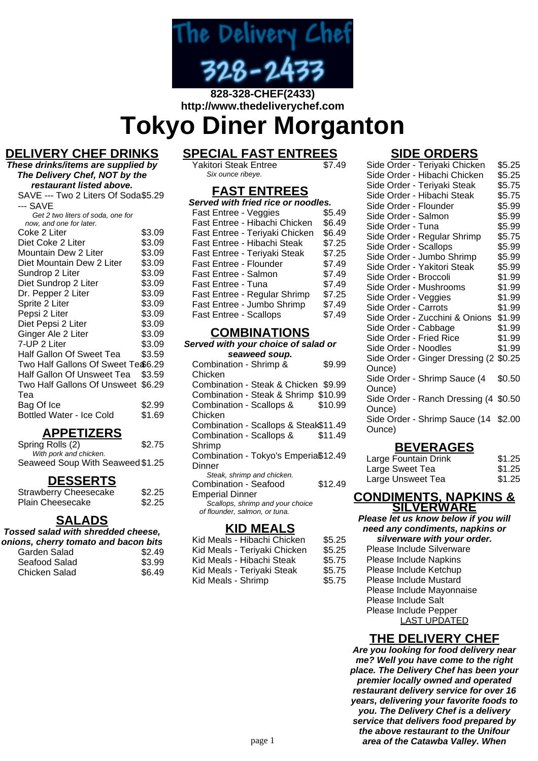

#### **828-328-CHEF(2433) http://www.thedeliverychef.com**

# **Tokyo Diner Morganton**

#### **DELIVERY CHEF DRINKS**

**These drinks/items are supplied by The Delivery Chef, NOT by the restaurant listed above.** SAVE --- Two 2 Liters Of Soda \$5.29 --- SAVE Get 2 two liters of soda, one for now, and one for later. Coke 2 Liter \$3.09<br>Diet Coke 2 Liter \$3.09 Diet Coke 2 Liter \$3.09<br>Mountain Dew 2 Liter \$3.09 Mountain Dew 2 Liter \$3.09<br>Diet Mountain Dew 2 Liter \$3.09 Diet Mountain Dew 2 Liter \$3.09<br>Sundrop 2 Liter \$3.09 Sundrop 2 Liter \$3.09<br>Diet Sundrop 2 Liter \$3.09 Diet Sundrop 2 Liter

| $DIO$ , buildivid $E$ cityl         | ww.vv  |
|-------------------------------------|--------|
| Dr. Pepper 2 Liter                  | \$3.09 |
| Sprite 2 Liter                      | \$3.09 |
| Pepsi 2 Liter                       | \$3.09 |
| Diet Pepsi 2 Liter                  | \$3.09 |
| Ginger Ale 2 Liter                  | \$3.09 |
| 7-UP 2 Liter                        | \$3.09 |
| Half Gallon Of Sweet Tea            | \$3.59 |
| Two Half Gallons Of Sweet Te \$6.29 |        |
| Half Gallon Of Unsweet Tea          | \$3.59 |
| Two Half Gallons Of Unsweet \$6.29  |        |
| Tea                                 |        |
| Bag Of Ice                          | \$2.99 |
| <b>Bottled Water - Ice Cold</b>     | \$1.69 |

#### **APPETIZERS**

| Spring Rolls (2)                 | \$2.75 |
|----------------------------------|--------|
| With pork and chicken.           |        |
| Seaweed Soup With Seaweed \$1.25 |        |

#### **DESSERTS**

| <b>Strawberry Cheesecake</b> | \$2.25 |
|------------------------------|--------|
| <b>Plain Cheesecake</b>      | \$2.25 |

#### **SALADS**

**Tossed salad with shredded cheese, onions, cherry tomato and bacon bits**

| Garden Salad  | \$2.49 |
|---------------|--------|
| Seafood Salad | \$3.99 |
| Chicken Salad | \$6.49 |

# **SPECIAL FAST ENTREES**

Yakitori Steak Entree Six ounce ribeye.

#### **FAST ENTREES**

| Served with fried rice or noodles. |        |  |
|------------------------------------|--------|--|
| Fast Entree - Veggies              | \$5.49 |  |
| Fast Entree - Hibachi Chicken      | \$6.49 |  |
| Fast Entree - Teriyaki Chicken     | \$6.49 |  |
| Fast Entree - Hibachi Steak        | \$7.25 |  |
| Fast Entree - Teriyaki Steak       | \$7.25 |  |
| <b>Fast Entree - Flounder</b>      | \$7.49 |  |
| Fast Entree - Salmon               | \$7.49 |  |
| Fast Entree - Tuna                 | \$7.49 |  |
| Fast Entree - Regular Shrimp       | \$7.25 |  |
| Fast Entree - Jumbo Shrimp         | \$7.49 |  |
| <b>Fast Entree - Scallops</b>      | \$7.49 |  |

#### **COMBINATIONS**

**Served with your choice of salad or seaweed soup.** Combination - Shrimp & Chicken \$9.99 Combination - Steak & Chicken \$9.99 Combination - Steak & Shrimp \$10.99 Combination - Scallops & Chicken \$10.99 Combination - Scallops & Steak\$11.49 Combination - Scallops & Shrimp \$11.49 Combination - Tokyo's Emperial \$12.49 **Dinner** Steak, shrimp and chicken. Combination - Seafood Emperial Dinner \$12.49 Scallops, shrimp and your choice of flounder, salmon, or tuna.

#### **KID MEALS**

| Kid Meals - Hibachi Chicken  | \$5.25 |
|------------------------------|--------|
| Kid Meals - Teriyaki Chicken | \$5.25 |
| Kid Meals - Hibachi Steak    | \$5.75 |
| Kid Meals - Teriyaki Steak   | \$5.75 |
| Kid Meals - Shrimp           | \$5.75 |

#### **SIDE ORDERS**

|                         | Side Order - Teriyaki Chicken          | \$5.25 |  |
|-------------------------|----------------------------------------|--------|--|
|                         | Side Order - Hibachi Chicken           | \$5.25 |  |
|                         | Side Order - Teriyaki Steak            | \$5.75 |  |
|                         | Side Order - Hibachi Steak             | \$5.75 |  |
| Side Order - Flounder   |                                        | \$5.99 |  |
| Side Order - Salmon     |                                        | \$5.99 |  |
| Side Order - Tuna       |                                        | \$5.99 |  |
|                         | Side Order - Regular Shrimp            | \$5.75 |  |
| Side Order - Scallops   |                                        | \$5.99 |  |
|                         | Side Order - Jumbo Shrimp              | \$5.99 |  |
|                         | Side Order - Yakitori Steak            | \$5.99 |  |
| Side Order - Broccoli   |                                        | \$1.99 |  |
| Side Order - Mushrooms  |                                        | \$1.99 |  |
| Side Order - Veggies    |                                        | \$1.99 |  |
| Side Order - Carrots    |                                        | \$1.99 |  |
|                         | Side Order - Zucchini & Onions         | \$1.99 |  |
| Side Order - Cabbage    |                                        | \$1.99 |  |
| Side Order - Fried Rice |                                        | \$1.99 |  |
| Side Order - Noodles    |                                        | \$1.99 |  |
|                         | Side Order - Ginger Dressing (2 \$0.25 |        |  |
| Ounce)                  |                                        |        |  |
|                         | Side Order - Shrimp Sauce (4           | \$0.50 |  |
| Ounce)                  |                                        |        |  |
|                         | Side Order - Ranch Dressing (4 \$0.50  |        |  |
| Ounce)                  |                                        |        |  |
|                         | Side Order - Shrimp Sauce (14 \$2.00   |        |  |
| Ounce)                  |                                        |        |  |
|                         |                                        |        |  |

### **BEVERAGES**

| Large Fountain Drink | \$1.25 |
|----------------------|--------|
| Large Sweet Tea      | \$1.25 |
| Large Unsweet Tea    | \$1.25 |

#### **CONDIMENTS, NAPKINS & SILVERWARE**

**Please let us know below if you will need any condiments, napkins or silverware with your order.** Please Include Silverware Please Include Napkins Please Include Ketchup Please Include Mustard Please Include Mayonnaise Please Include Salt Please Include Pepper LAST UPDATED

## **THE DELIVERY CHEF**

**Are you looking for food delivery near me? Well you have come to the right place. The Delivery Chef has been your premier locally owned and operated restaurant delivery service for over 16 years, delivering your favorite foods to you. The Delivery Chef is a delivery service that delivers food prepared by the above restaurant to the Unifour** page 1 **area of the Catawba Valley. When**